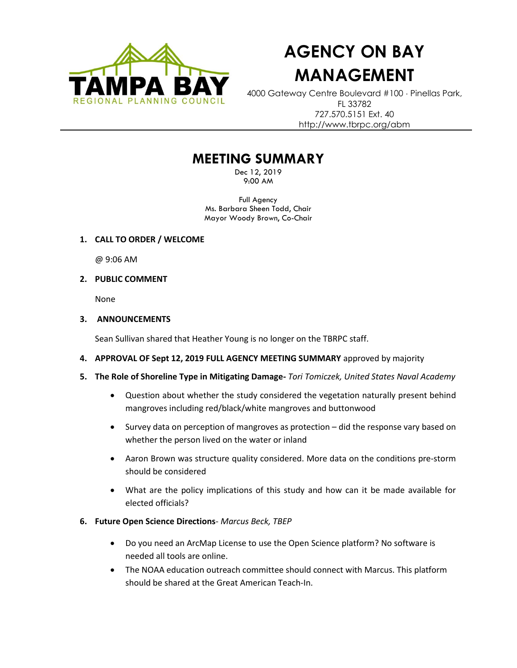

# **AGENCY ON BAY MANAGEMENT**

4000 Gateway Centre Boulevard #100 Pinellas Park, FL 33782 727.570.5151 Ext. 40 http://www.tbrpc.org/abm

# **MEETING SUMMARY**

Dec 12, 2019 9:00 AM

Full Agency Ms. Barbara Sheen Todd, Chair Mayor Woody Brown, Co-Chair

# **1. CALL TO ORDER / WELCOME**

@ 9:06 AM

# **2. PUBLIC COMMENT**

None

# **3. ANNOUNCEMENTS**

Sean Sullivan shared that Heather Young is no longer on the TBRPC staff.

- **4. APPROVAL OF Sept 12, 2019 FULL AGENCY MEETING SUMMARY** approved by majority
- **5. The Role of Shoreline Type in Mitigating Damage-** *Tori Tomiczek, United States Naval Academy*
	- Question about whether the study considered the vegetation naturally present behind mangroves including red/black/white mangroves and buttonwood
	- Survey data on perception of mangroves as protection did the response vary based on whether the person lived on the water or inland
	- Aaron Brown was structure quality considered. More data on the conditions pre-storm should be considered
	- What are the policy implications of this study and how can it be made available for elected officials?

# **6. Future Open Science Directions**- *Marcus Beck, TBEP*

- Do you need an ArcMap License to use the Open Science platform? No software is needed all tools are online.
- The NOAA education outreach committee should connect with Marcus. This platform should be shared at the Great American Teach-In.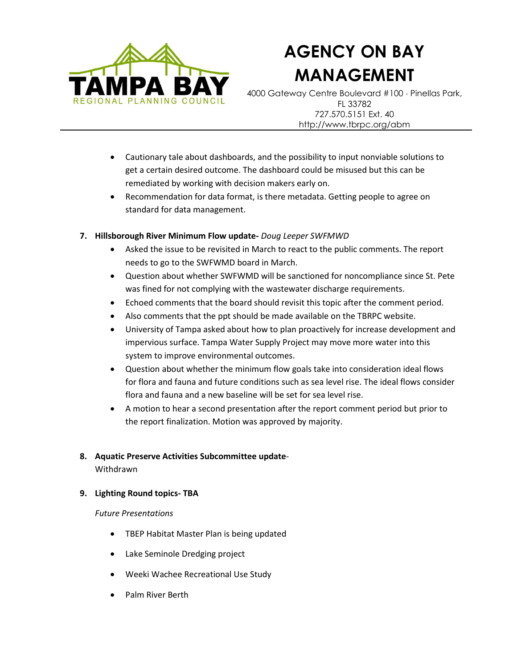

# **AGENCY ON BAY MANAGEMENT**

4000 Gateway Centre Boulevard #100 Pinellas Park, FL 33782 727.570.5151 Ext. 40 http://www.tbrpc.org/abm

- Cautionary tale about dashboards, and the possibility to input nonviable solutions to get a certain desired outcome. The dashboard could be misused but this can be remediated by working with decision makers early on.
- Recommendation for data format, is there metadata. Getting people to agree on standard for data management.
- **7. Hillsborough River Minimum Flow update-** *Doug Leeper SWFMWD*
	- Asked the issue to be revisited in March to react to the public comments. The report needs to go to the SWFWMD board in March.
	- Question about whether SWFWMD will be sanctioned for noncompliance since St. Pete was fined for not complying with the wastewater discharge requirements.
	- Echoed comments that the board should revisit this topic after the comment period.
	- Also comments that the ppt should be made available on the TBRPC website.
	- University of Tampa asked about how to plan proactively for increase development and impervious surface. Tampa Water Supply Project may move more water into this system to improve environmental outcomes.
	- Question about whether the minimum flow goals take into consideration ideal flows for flora and fauna and future conditions such as sea level rise. The ideal flows consider flora and fauna and a new baseline will be set for sea level rise.
	- A motion to hear a second presentation after the report comment period but prior to the report finalization. Motion was approved by majority.

# **8. Aquatic Preserve Activities Subcommittee update**-

Withdrawn

# **9. Lighting Round topics- TBA**

# *Future Presentations*

- TBEP Habitat Master Plan is being updated
- Lake Seminole Dredging project
- Weeki Wachee Recreational Use Study
- Palm River Berth